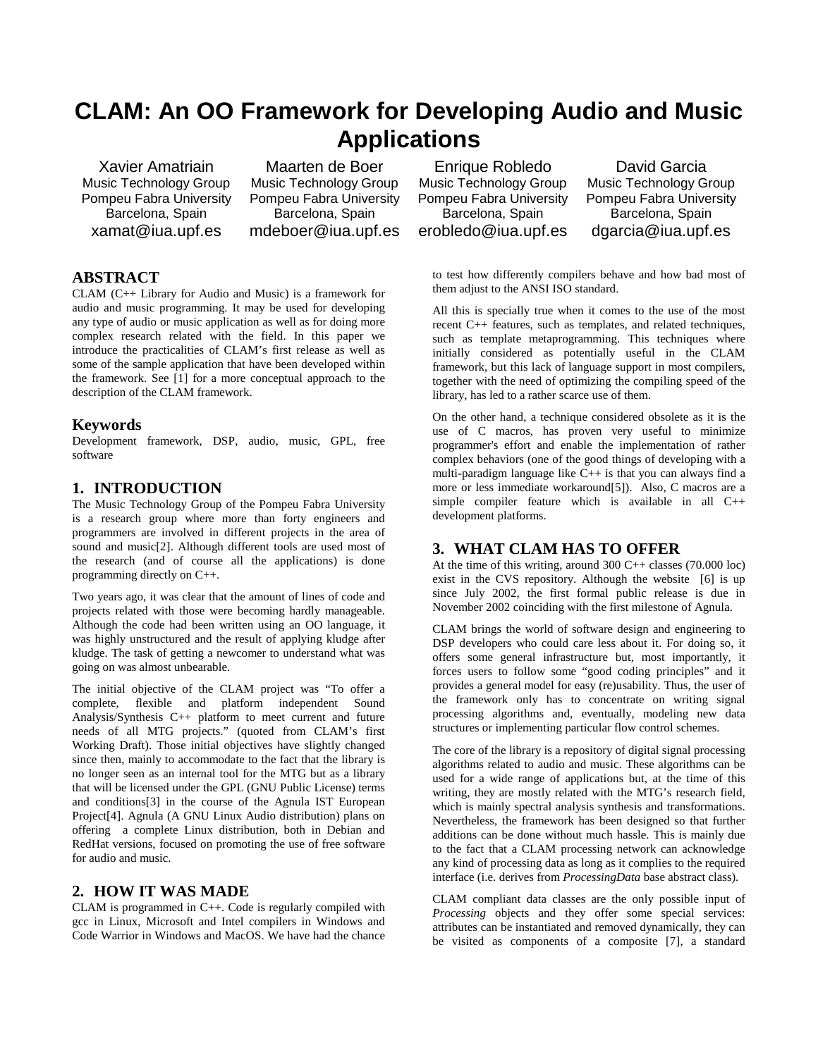# **CLAM: An OO Framework for Developing Audio and Music Applications**

Xavier Amatriain Music Technology Group Pompeu Fabra University Barcelona, Spain xamat@iua.upf.es

Maarten de Boer Music Technology Group Pompeu Fabra University Barcelona, Spain mdeboer@iua.upf.es

# **ABSTRACT**

CLAM (C++ Library for Audio and Music) is a framework for audio and music programming. It may be used for developing any type of audio or music application as well as for doing more complex research related with the field. In this paper we introduce the practicalities of CLAM's first release as well as some of the sample application that have been developed within the framework. See [1] for a more conceptual approach to the description of the CLAM framework.

#### **Keywords**

Development framework, DSP, audio, music, GPL, free software

## **1. INTRODUCTION**

The Music Technology Group of the Pompeu Fabra University is a research group where more than forty engineers and programmers are involved in different projects in the area of sound and music[2]. Although different tools are used most of the research (and of course all the applications) is done programming directly on C++.

Two years ago, it was clear that the amount of lines of code and projects related with those were becoming hardly manageable. Although the code had been written using an OO language, it was highly unstructured and the result of applying kludge after kludge. The task of getting a newcomer to understand what was going on was almost unbearable.

The initial objective of the CLAM project was "To offer a complete, flexible and platform independent Sound Analysis/Synthesis C++ platform to meet current and future needs of all MTG projects." (quoted from CLAM's first Working Draft). Those initial objectives have slightly changed since then, mainly to accommodate to the fact that the library is no longer seen as an internal tool for the MTG but as a library that will be licensed under the GPL (GNU Public License) terms and conditions[3] in the course of the Agnula IST European Project[4]. Agnula (A GNU Linux Audio distribution) plans on offering a complete Linux distribution, both in Debian and RedHat versions, focused on promoting the use of free software for audio and music.

## **2. HOW IT WAS MADE**

CLAM is programmed in C++. Code is regularly compiled with gcc in Linux, Microsoft and Intel compilers in Windows and Code Warrior in Windows and MacOS. We have had the chance

Enrique Robledo Music Technology Group Pompeu Fabra University Barcelona, Spain erobledo@iua.upf.es

David Garcia Music Technology Group Pompeu Fabra University Barcelona, Spain dgarcia@iua.upf.es

to test how differently compilers behave and how bad most of them adjust to the ANSI ISO standard.

All this is specially true when it comes to the use of the most recent C++ features, such as templates, and related techniques, such as template metaprogramming. This techniques where initially considered as potentially useful in the CLAM framework, but this lack of language support in most compilers, together with the need of optimizing the compiling speed of the library, has led to a rather scarce use of them.

On the other hand, a technique considered obsolete as it is the use of C macros, has proven very useful to minimize programmer's effort and enable the implementation of rather complex behaviors (one of the good things of developing with a multi-paradigm language like C++ is that you can always find a more or less immediate workaround[5]). Also, C macros are a simple compiler feature which is available in all  $C++$ development platforms.

## **3. WHAT CLAM HAS TO OFFER**

At the time of this writing, around  $300 \text{ C++}$  classes (70.000 loc) exist in the CVS repository. Although the website [6] is up since July 2002, the first formal public release is due in November 2002 coinciding with the first milestone of Agnula.

CLAM brings the world of software design and engineering to DSP developers who could care less about it. For doing so, it offers some general infrastructure but, most importantly, it forces users to follow some "good coding principles" and it provides a general model for easy (re)usability. Thus, the user of the framework only has to concentrate on writing signal processing algorithms and, eventually, modeling new data structures or implementing particular flow control schemes.

The core of the library is a repository of digital signal processing algorithms related to audio and music. These algorithms can be used for a wide range of applications but, at the time of this writing, they are mostly related with the MTG's research field, which is mainly spectral analysis synthesis and transformations. Nevertheless, the framework has been designed so that further additions can be done without much hassle. This is mainly due to the fact that a CLAM processing network can acknowledge any kind of processing data as long as it complies to the required interface (i.e. derives from *ProcessingData* base abstract class).

CLAM compliant data classes are the only possible input of *Processing* objects and they offer some special services: attributes can be instantiated and removed dynamically, they can be visited as components of a composite [7], a standard